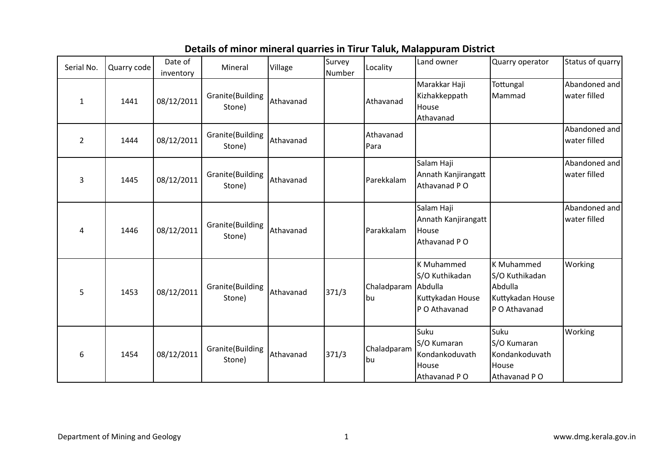## Details of minor mineral quarries in Tirur Taluk, Malappuram District

| Serial No.     | Quarry code | Date of<br>inventory | Mineral                    | Village   | Survey<br>Number | Locality                  | Land owner                                                               | Quarry operator                                                              | Status of quarry              |
|----------------|-------------|----------------------|----------------------------|-----------|------------------|---------------------------|--------------------------------------------------------------------------|------------------------------------------------------------------------------|-------------------------------|
| $\mathbf{1}$   | 1441        | 08/12/2011           | Granite(Building<br>Stone) | Athavanad |                  | Athavanad                 | Marakkar Haji<br>Kizhakkeppath<br>House<br>Athavanad                     | Tottungal<br>Mammad                                                          | Abandoned and<br>water filled |
| $\overline{2}$ | 1444        | 08/12/2011           | Granite(Building<br>Stone) | Athavanad |                  | Athavanad<br>Para         |                                                                          |                                                                              | Abandoned and<br>water filled |
| 3              | 1445        | 08/12/2011           | Granite(Building<br>Stone) | Athavanad |                  | Parekkalam                | Salam Haji<br>Annath Kanjirangatt<br>Athavanad PO                        |                                                                              | Abandoned and<br>water filled |
| 4              | 1446        | 08/12/2011           | Granite(Building<br>Stone) | Athavanad |                  | Parakkalam                | Salam Haji<br>Annath Kanjirangatt<br>House<br>Athavanad PO               |                                                                              | Abandoned and<br>water filled |
| 5              | 1453        | 08/12/2011           | Granite(Building<br>Stone) | Athavanad | 371/3            | Chaladparam Abdulla<br>bu | <b>K</b> Muhammed<br>S/O Kuthikadan<br>Kuttykadan House<br>P O Athavanad | K Muhammed<br>S/O Kuthikadan<br>Abdulla<br>Kuttykadan House<br>P O Athavanad | Working                       |
| 6              | 1454        | 08/12/2011           | Granite(Building<br>Stone) | Athavanad | 371/3            | Chaladparam<br>bu         | Suku<br>S/O Kumaran<br>Kondankoduvath<br>House<br>Athavanad P O          | Suku<br>S/O Kumaran<br>Kondankoduvath<br>House<br>Athavanad PO               | Working                       |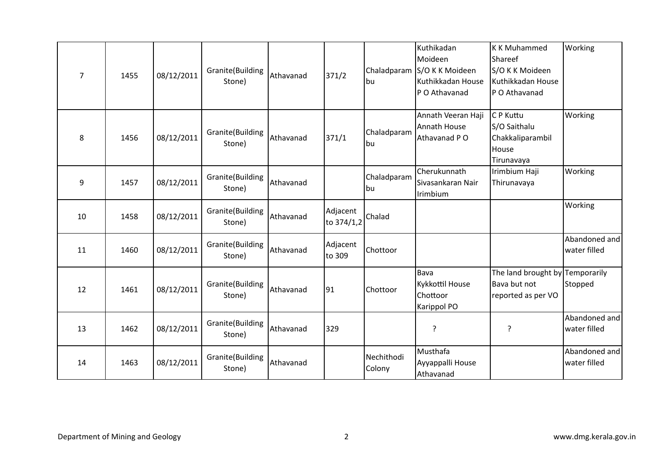| $\overline{7}$ | 1455 | 08/12/2011 | Granite(Building<br>Stone) | Athavanad | 371/2                  | Chaladparam<br>lbu   | Kuthikadan<br>Moideen<br>S/O K K Moideen<br>Kuthikkadan House<br>P O Athavanad | <b>KK Muhammed</b><br>Shareef<br>S/O K K Moideen<br>Kuthikkadan House<br>P O Athavanad | Working                       |
|----------------|------|------------|----------------------------|-----------|------------------------|----------------------|--------------------------------------------------------------------------------|----------------------------------------------------------------------------------------|-------------------------------|
| 8              | 1456 | 08/12/2011 | Granite(Building<br>Stone) | Athavanad | 371/1                  | Chaladparam<br>bu    | Annath Veeran Haji<br><b>Annath House</b><br>Athavanad P O                     | C P Kuttu<br>S/O Saithalu<br>Chakkaliparambil<br>House<br>Tirunavaya                   | Working                       |
| 9              | 1457 | 08/12/2011 | Granite(Building<br>Stone) | Athavanad |                        | Chaladparam<br>bu    | Cherukunnath<br>Sivasankaran Nair<br>Irimbium                                  | Irimbium Haji<br>Thirunavaya                                                           | Working                       |
| 10             | 1458 | 08/12/2011 | Granite(Building<br>Stone) | Athavanad | Adjacent<br>to 374/1,2 | Chalad               |                                                                                |                                                                                        | Working                       |
| 11             | 1460 | 08/12/2011 | Granite(Building<br>Stone) | Athavanad | Adjacent<br>to 309     | Chottoor             |                                                                                |                                                                                        | Abandoned and<br>water filled |
| 12             | 1461 | 08/12/2011 | Granite(Building<br>Stone) | Athavanad | 91                     | Chottoor             | Bava<br>Kykkottil House<br>Chottoor<br>Karippol PO                             | The land brought by Temporarily<br>Bava but not<br>reported as per VO                  | Stopped                       |
| 13             | 1462 | 08/12/2011 | Granite(Building<br>Stone) | Athavanad | 329                    |                      | ?                                                                              | ?                                                                                      | Abandoned and<br>water filled |
| 14             | 1463 | 08/12/2011 | Granite(Building<br>Stone) | Athavanad |                        | Nechithodi<br>Colony | Musthafa<br>Ayyappalli House<br>Athavanad                                      |                                                                                        | Abandoned and<br>water filled |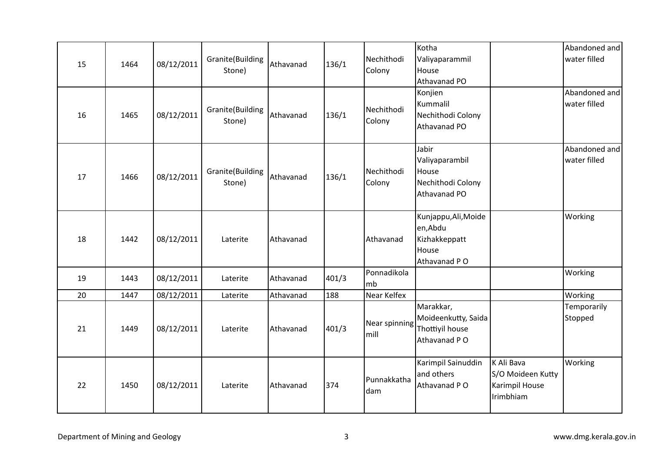| 15 | 1464 | 08/12/2011 | Granite(Building<br>Stone) | Athavanad | 136/1 | Nechithodi<br>Colony  | Kotha<br>Valiyaparammil<br>House<br>Athavanad PO                           |                                                                | Abandoned and<br>water filled |
|----|------|------------|----------------------------|-----------|-------|-----------------------|----------------------------------------------------------------------------|----------------------------------------------------------------|-------------------------------|
| 16 | 1465 | 08/12/2011 | Granite(Building<br>Stone) | Athavanad | 136/1 | Nechithodi<br>Colony  | Konjien<br>Kummalil<br>Nechithodi Colony<br>Athavanad PO                   |                                                                | Abandoned and<br>water filled |
| 17 | 1466 | 08/12/2011 | Granite(Building<br>Stone) | Athavanad | 136/1 | Nechithodi<br>Colony  | Jabir<br>Valiyaparambil<br>House<br>Nechithodi Colony<br>Athavanad PO      |                                                                | Abandoned and<br>water filled |
| 18 | 1442 | 08/12/2011 | Laterite                   | Athavanad |       | Athavanad             | Kunjappu, Ali, Moide<br>en, Abdu<br>Kizhakkeppatt<br>House<br>Athavanad PO |                                                                | Working                       |
| 19 | 1443 | 08/12/2011 | Laterite                   | Athavanad | 401/3 | Ponnadikola<br>mb     |                                                                            |                                                                | Working                       |
| 20 | 1447 | 08/12/2011 | Laterite                   | Athavanad | 188   | Near Kelfex           |                                                                            |                                                                | Working                       |
| 21 | 1449 | 08/12/2011 | Laterite                   | Athavanad | 401/3 | Near spinning<br>mill | Marakkar,<br>Moideenkutty, Saida<br>Thottiyil house<br>Athavanad PO        |                                                                | Temporarily<br>Stopped        |
| 22 | 1450 | 08/12/2011 | Laterite                   | Athavanad | 374   | Punnakkatha<br>dam    | Karimpil Sainuddin<br>and others<br>Athavanad PO                           | K Ali Bava<br>S/O Moideen Kutty<br>Karimpil House<br>Irimbhiam | Working                       |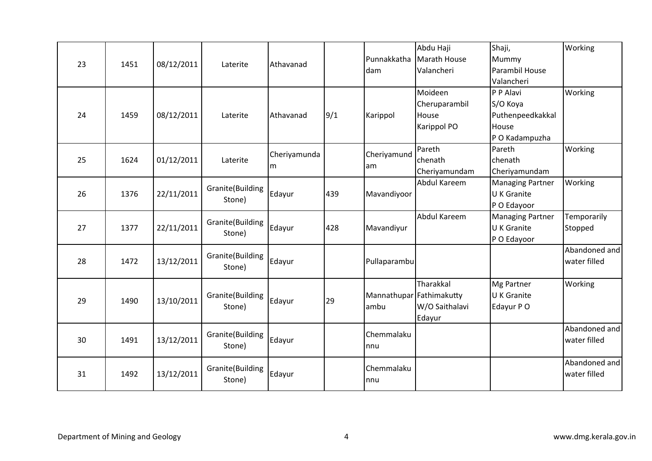| 23 | 1451 | 08/12/2011 | Laterite                   | Athavanad         |     | Punnakkatha<br>dam  | Abdu Haji<br>Marath House<br>Valancheri               | Shaji,<br>Mummy<br>Parambil House<br>Valancheri                      | Working                       |
|----|------|------------|----------------------------|-------------------|-----|---------------------|-------------------------------------------------------|----------------------------------------------------------------------|-------------------------------|
| 24 | 1459 | 08/12/2011 | Laterite                   | Athavanad         | 9/1 | Karippol            | Moideen<br>Cheruparambil<br>House<br>Karippol PO      | P P Alavi<br>S/O Koya<br>Puthenpeedkakkal<br>House<br>P O Kadampuzha | Working                       |
| 25 | 1624 | 01/12/2011 | Laterite                   | Cheriyamunda<br>m |     | Cheriyamund<br>am   | Pareth<br>chenath<br>Cheriyamundam                    | Pareth<br>chenath<br>Cheriyamundam                                   | Working                       |
| 26 | 1376 | 22/11/2011 | Granite(Building<br>Stone) | Edayur            | 439 | Mavandiyoor         | Abdul Kareem                                          | <b>Managing Partner</b><br><b>U</b> K Granite<br>P O Edayoor         | Working                       |
| 27 | 1377 | 22/11/2011 | Granite(Building<br>Stone) | Edayur            | 428 | Mavandiyur          | Abdul Kareem                                          | <b>Managing Partner</b><br><b>U</b> K Granite<br>P O Edayoor         | Temporarily<br>Stopped        |
| 28 | 1472 | 13/12/2011 | Granite(Building<br>Stone) | Edayur            |     | Pullaparambu        |                                                       |                                                                      | Abandoned and<br>water filled |
| 29 | 1490 | 13/10/2011 | Granite(Building<br>Stone) | Edayur            | 29  | Mannathupar<br>ambu | Tharakkal<br>Fathimakutty<br>W/O Saithalavi<br>Edayur | Mg Partner<br><b>U</b> K Granite<br>Edayur PO                        | Working                       |
| 30 | 1491 | 13/12/2011 | Granite(Building<br>Stone) | Edayur            |     | Chemmalaku<br>nnu   |                                                       |                                                                      | Abandoned and<br>water filled |
| 31 | 1492 | 13/12/2011 | Granite(Building<br>Stone) | Edayur            |     | Chemmalaku<br>nnu   |                                                       |                                                                      | Abandoned and<br>water filled |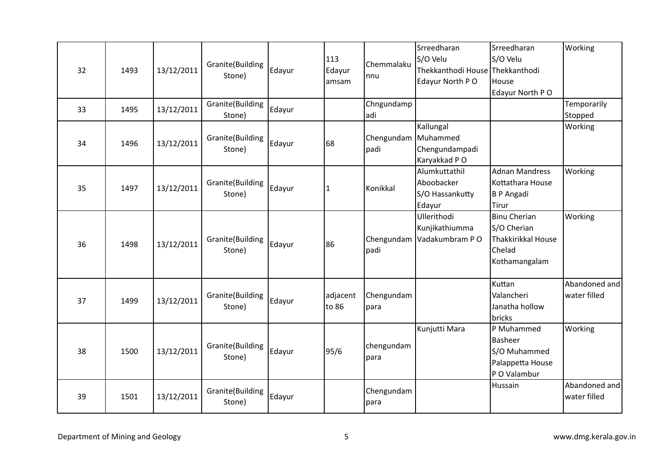| 32 | 1493 | 13/12/2011 | Granite(Building<br>Stone) | Edayur | 113<br>Edayur<br>amsam | Chemmalaku<br>nnu           | Srreedharan<br>S/O Velu<br>Thekkanthodi House Thekkanthodi<br>Edayur North PO | Srreedharan<br>S/O Velu<br>House<br>Edayur North PO                                        | Working                       |
|----|------|------------|----------------------------|--------|------------------------|-----------------------------|-------------------------------------------------------------------------------|--------------------------------------------------------------------------------------------|-------------------------------|
| 33 | 1495 | 13/12/2011 | Granite(Building<br>Stone) | Edayur |                        | Chngundamp<br>adi           |                                                                               |                                                                                            | Temporarily<br>Stopped        |
| 34 | 1496 | 13/12/2011 | Granite(Building<br>Stone) | Edayur | 68                     | Chengundam Muhammed<br>padi | Kallungal<br>Chengundampadi<br>Karyakkad PO                                   |                                                                                            | Working                       |
| 35 | 1497 | 13/12/2011 | Granite(Building<br>Stone) | Edayur | 11                     | Konikkal                    | Alumkuttathil<br>Aboobacker<br>S/O Hassankutty<br>Edayur                      | <b>Adnan Mandress</b><br>Kottathara House<br><b>B P Angadi</b><br>Tirur                    | Working                       |
| 36 | 1498 | 13/12/2011 | Granite(Building<br>Stone) | Edayur | 86                     | padi                        | Ullerithodi<br>Kunjikathiumma<br>Chengundam Vadakumbram PO                    | <b>Binu Cherian</b><br>S/O Cherian<br><b>Thakkirikkal House</b><br>Chelad<br>Kothamangalam | Working                       |
| 37 | 1499 | 13/12/2011 | Granite(Building<br>Stone) | Edayur | adjacent<br>to 86      | Chengundam<br>para          |                                                                               | Kuttan<br>Valancheri<br>Janatha hollow<br>bricks                                           | Abandoned and<br>water filled |
| 38 | 1500 | 13/12/2011 | Granite(Building<br>Stone) | Edayur | 95/6                   | chengundam<br>para          | Kunjutti Mara                                                                 | P Muhammed<br><b>Basheer</b><br>S/O Muhammed<br>Palappetta House<br>P O Valambur           | Working                       |
| 39 | 1501 | 13/12/2011 | Granite(Building<br>Stone) | Edayur |                        | Chengundam<br>para          |                                                                               | Hussain                                                                                    | Abandoned and<br>water filled |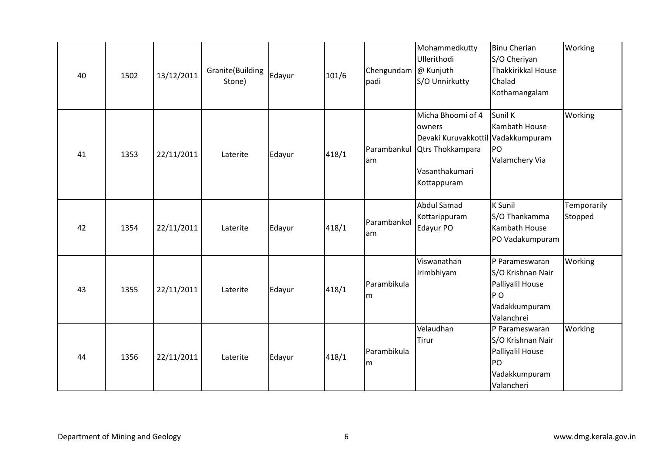| 40 | 1502 | 13/12/2011 | Granite(Building<br>Stone) | Edayur | 101/6 | Chengundam<br>padi | Mohammedkutty<br>Ullerithodi<br>@ Kunjuth<br>S/O Unnirkutty                                                                   | Binu Cherian<br>S/O Cheriyan<br><b>Thakkirikkal House</b><br>Chalad<br>Kothamangalam            | Working                |
|----|------|------------|----------------------------|--------|-------|--------------------|-------------------------------------------------------------------------------------------------------------------------------|-------------------------------------------------------------------------------------------------|------------------------|
| 41 | 1353 | 22/11/2011 | Laterite                   | Edayur | 418/1 | Parambankul<br>lam | Micha Bhoomi of 4<br>owners<br>Devaki Kuruvakkottil Vadakkumpuram<br><b>Qtrs Thokkampara</b><br>Vasanthakumari<br>Kottappuram | Sunil K<br>Kambath House<br>PO<br>Valamchery Via                                                | Working                |
| 42 | 1354 | 22/11/2011 | Laterite                   | Edayur | 418/1 | Parambankol<br>lam | <b>Abdul Samad</b><br>Kottarippuram<br>Edayur PO                                                                              | <b>K</b> Sunil<br>S/O Thankamma<br>Kambath House<br>PO Vadakumpuram                             | Temporarily<br>Stopped |
| 43 | 1355 | 22/11/2011 | Laterite                   | Edayur | 418/1 | Parambikula<br>m   | Viswanathan<br>Irimbhiyam                                                                                                     | P Parameswaran<br>S/O Krishnan Nair<br>Palliyalil House<br>$P$ O<br>Vadakkumpuram<br>Valanchrei | Working                |
| 44 | 1356 | 22/11/2011 | Laterite                   | Edayur | 418/1 | Parambikula<br>lm. | Velaudhan<br>Tirur                                                                                                            | P Parameswaran<br>S/O Krishnan Nair<br>Palliyalil House<br>PO<br>Vadakkumpuram<br>Valancheri    | Working                |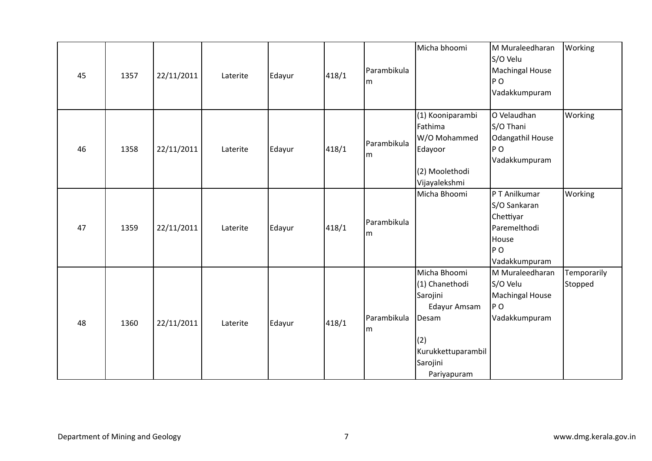| 45 | 1357 | 22/11/2011 | Laterite | Edayur | 418/1 | Parambikula<br>m   | Micha bhoomi                                                                                                                | M Muraleedharan<br>S/O Velu<br><b>Machingal House</b><br>P <sub>O</sub><br>Vadakkumpuram   | Working                |
|----|------|------------|----------|--------|-------|--------------------|-----------------------------------------------------------------------------------------------------------------------------|--------------------------------------------------------------------------------------------|------------------------|
| 46 | 1358 | 22/11/2011 | Laterite | Edayur | 418/1 | Parambikula<br>lm. | (1) Kooniparambi<br>Fathima<br>W/O Mohammed<br>Edayoor<br>(2) Moolethodi<br>Vijayalekshmi                                   | O Velaudhan<br>S/O Thani<br>Odangathil House<br>$P$ O<br>Vadakkumpuram                     | Working                |
| 47 | 1359 | 22/11/2011 | Laterite | Edayur | 418/1 | Parambikula<br>m   | Micha Bhoomi                                                                                                                | P T Anilkumar<br>S/O Sankaran<br>Chettiyar<br>Paremelthodi<br>House<br>PO<br>Vadakkumpuram | Working                |
| 48 | 1360 | 22/11/2011 | Laterite | Edayur | 418/1 | Parambikula<br>m   | Micha Bhoomi<br>(1) Chanethodi<br>Sarojini<br>Edayur Amsam<br>Desam<br>(2)<br>Kurukkettuparambil<br>Sarojini<br>Pariyapuram | M Muraleedharan<br>S/O Velu<br><b>Machingal House</b><br> PQ <br>Vadakkumpuram             | Temporarily<br>Stopped |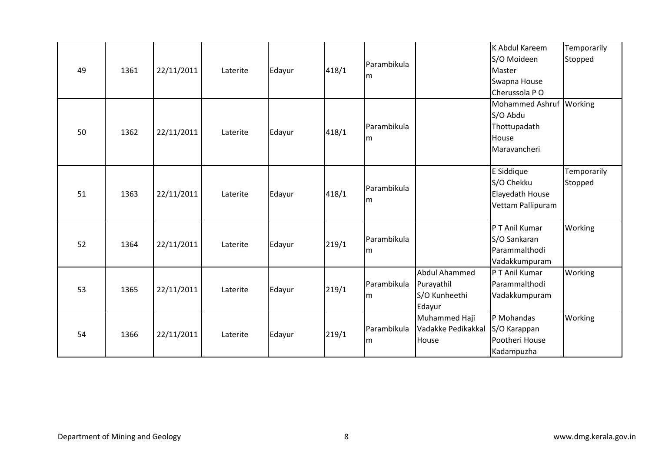| 49 | 1361 | 22/11/2011 | Laterite | Edayur | 418/1 | Parambikula<br>l m |                                                               | K Abdul Kareem<br>S/O Moideen<br>Master<br>Swapna House<br>Cherussola PO     | Temporarily<br>Stopped |
|----|------|------------|----------|--------|-------|--------------------|---------------------------------------------------------------|------------------------------------------------------------------------------|------------------------|
| 50 | 1362 | 22/11/2011 | Laterite | Edayur | 418/1 | Parambikula<br>lm. |                                                               | Mohammed Ashruf Working<br>S/O Abdu<br>Thottupadath<br>House<br>Maravancheri |                        |
| 51 | 1363 | 22/11/2011 | Laterite | Edayur | 418/1 | Parambikula<br>lm. |                                                               | E Siddique<br>S/O Chekku<br>Elayedath House<br>Vettam Pallipuram             | Temporarily<br>Stopped |
| 52 | 1364 | 22/11/2011 | Laterite | Edayur | 219/1 | Parambikula<br>lm. |                                                               | P T Anil Kumar<br>S/O Sankaran<br>Parammalthodi<br>Vadakkumpuram             | Working                |
| 53 | 1365 | 22/11/2011 | Laterite | Edayur | 219/1 | Parambikula<br>l m | <b>Abdul Ahammed</b><br>Purayathil<br>S/O Kunheethi<br>Edayur | P T Anil Kumar<br>Parammalthodi<br>Vadakkumpuram                             | Working                |
| 54 | 1366 | 22/11/2011 | Laterite | Edayur | 219/1 | Parambikula<br>lm. | Muhammed Haji<br>Vadakke Pedikakkal<br>House                  | P Mohandas<br>S/O Karappan<br>Pootheri House<br>Kadampuzha                   | Working                |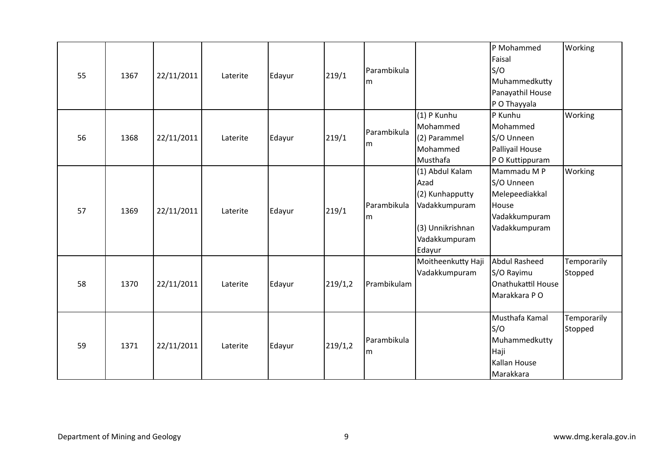| 55 | 1367 | 22/11/2011 | Laterite | Edayur | 219/1   | Parambikula<br>m |                                                                                                            | P Mohammed<br>Faisal<br>S/O<br>Muhammedkutty<br>Panayathil House<br>P O Thayyala       | Working                |
|----|------|------------|----------|--------|---------|------------------|------------------------------------------------------------------------------------------------------------|----------------------------------------------------------------------------------------|------------------------|
| 56 | 1368 | 22/11/2011 | Laterite | Edayur | 219/1   | Parambikula<br>m | (1) P Kunhu<br>Mohammed<br>(2) Parammel<br>Mohammed<br>Musthafa                                            | P Kunhu<br>Mohammed<br>S/O Unneen<br>Palliyail House<br>P O Kuttippuram                | Working                |
| 57 | 1369 | 22/11/2011 | Laterite | Edayur | 219/1   | Parambikula<br>m | (1) Abdul Kalam<br>Azad<br>(2) Kunhapputty<br>Vadakkumpuram<br>(3) Unnikrishnan<br>Vadakkumpuram<br>Edayur | Mammadu M P<br>S/O Unneen<br>Melepeediakkal<br>House<br>Vadakkumpuram<br>Vadakkumpuram | Working                |
| 58 | 1370 | 22/11/2011 | Laterite | Edayur | 219/1,2 | Prambikulam      | Moitheenkutty Haji<br>Vadakkumpuram                                                                        | <b>Abdul Rasheed</b><br>S/O Rayimu<br>Onathukattil House<br>Marakkara PO               | Temporarily<br>Stopped |
| 59 | 1371 | 22/11/2011 | Laterite | Edayur | 219/1,2 | Parambikula<br>m |                                                                                                            | Musthafa Kamal<br>S/O<br>Muhammedkutty<br>Haji<br>Kallan House<br>Marakkara            | Temporarily<br>Stopped |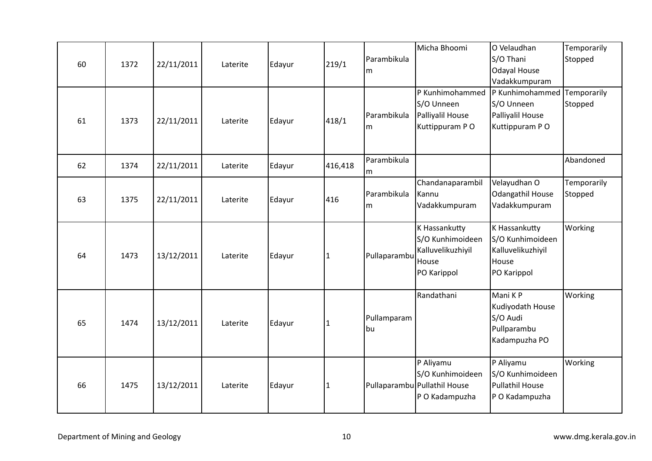| 60 | 1372 | 22/11/2011 | Laterite | Edayur | 219/1        | Parambikula<br>m  | Micha Bhoomi                                                                    | O Velaudhan<br>S/O Thani<br><b>Odayal House</b><br>Vadakkumpuram               | Temporarily<br>Stopped |
|----|------|------------|----------|--------|--------------|-------------------|---------------------------------------------------------------------------------|--------------------------------------------------------------------------------|------------------------|
| 61 | 1373 | 22/11/2011 | Laterite | Edayur | 418/1        | Parambikula<br>m  | P Kunhimohammed<br>S/O Unneen<br>Palliyalil House<br>Kuttippuram PO             | P Kunhimohammed<br>S/O Unneen<br>Palliyalil House<br>Kuttippuram PO            | Temporarily<br>Stopped |
| 62 | 1374 | 22/11/2011 | Laterite | Edayur | 416,418      | Parambikula<br>m  |                                                                                 |                                                                                | Abandoned              |
| 63 | 1375 | 22/11/2011 | Laterite | Edayur | 416          | Parambikula<br>m  | Chandanaparambil<br>Kannu<br>Vadakkumpuram                                      | Velayudhan O<br>Odangathil House<br>Vadakkumpuram                              | Temporarily<br>Stopped |
| 64 | 1473 | 13/12/2011 | Laterite | Edayur | 1            | Pullaparambu      | K Hassankutty<br>S/O Kunhimoideen<br>Kalluvelikuzhiyil<br>House<br>PO Karippol  | K Hassankutty<br>S/O Kunhimoideen<br>Kalluvelikuzhiyil<br>House<br>PO Karippol | Working                |
| 65 | 1474 | 13/12/2011 | Laterite | Edayur | 1            | Pullamparam<br>bu | Randathani                                                                      | Mani K P<br>Kudiyodath House<br>S/O Audi<br>Pullparambu<br>Kadampuzha PO       | Working                |
| 66 | 1475 | 13/12/2011 | Laterite | Edayur | $\mathbf{1}$ |                   | P Aliyamu<br>S/O Kunhimoideen<br>Pullaparambu Pullathil House<br>P O Kadampuzha | P Aliyamu<br>S/O Kunhimoideen<br><b>Pullathil House</b><br>P O Kadampuzha      | Working                |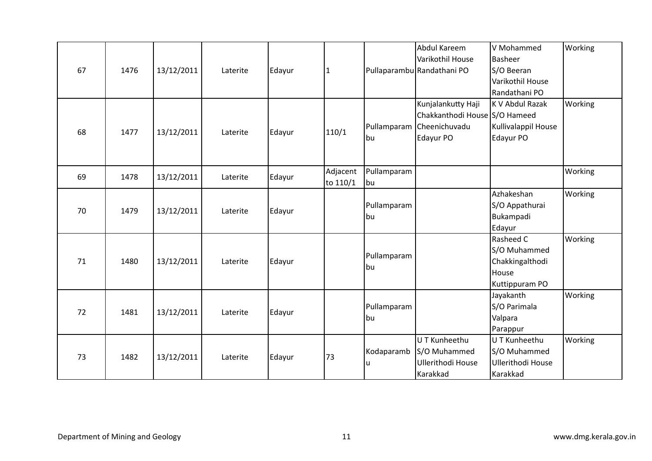| 67 | 1476 | 13/12/2011 | Laterite | Edayur |                      |                   | Abdul Kareem<br>Varikothil House<br>Pullaparambu Randathani PO                                | V Mohammed<br><b>Basheer</b><br>S/O Beeran<br>Varikothil House<br>Randathani PO | Working |
|----|------|------------|----------|--------|----------------------|-------------------|-----------------------------------------------------------------------------------------------|---------------------------------------------------------------------------------|---------|
| 68 | 1477 | 13/12/2011 | Laterite | Edayur | 110/1                | bu                | Kunjalankutty Haji<br>Chakkanthodi House S/O Hameed<br>Pullamparam Cheenichuvadu<br>Edayur PO | K V Abdul Razak<br>Kullivalappil House<br>Edayur PO                             | Working |
| 69 | 1478 | 13/12/2011 | Laterite | Edayur | Adjacent<br>to 110/1 | Pullamparam<br>bu |                                                                                               |                                                                                 | Working |
| 70 | 1479 | 13/12/2011 | Laterite | Edayur |                      | Pullamparam<br>bu |                                                                                               | Azhakeshan<br>S/O Appathurai<br>Bukampadi<br>Edayur                             | Working |
| 71 | 1480 | 13/12/2011 | Laterite | Edayur |                      | Pullamparam<br>bu |                                                                                               | Rasheed C<br>S/O Muhammed<br>Chakkingalthodi<br>House<br>Kuttippuram PO         | Working |
| 72 | 1481 | 13/12/2011 | Laterite | Edayur |                      | Pullamparam<br>bu |                                                                                               | Jayakanth<br>S/O Parimala<br>Valpara<br>Parappur                                | Working |
| 73 | 1482 | 13/12/2011 | Laterite | Edayur | 73                   | Kodaparamb<br>u   | U T Kunheethu<br>S/O Muhammed<br><b>Ullerithodi House</b><br>Karakkad                         | U T Kunheethu<br>S/O Muhammed<br>Ullerithodi House<br>Karakkad                  | Working |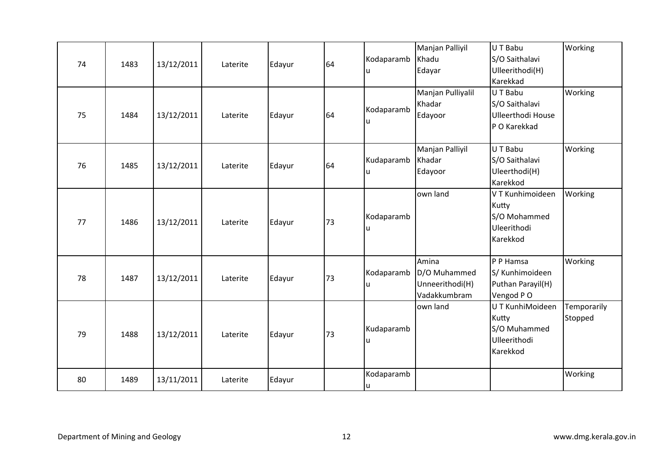| 74 | 1483 | 13/12/2011 | Laterite | Edayur | 64 | Kodaparamb<br>u  | Manjan Palliyil<br>Khadu<br>Edayar                       | U T Babu<br>S/O Saithalavi<br>Ulleerithodi(H)<br>Karekkad             | Working                |
|----|------|------------|----------|--------|----|------------------|----------------------------------------------------------|-----------------------------------------------------------------------|------------------------|
| 75 | 1484 | 13/12/2011 | Laterite | Edayur | 64 | Kodaparamb       | Manjan Pulliyalil<br>Khadar<br>Edayoor                   | U T Babu<br>S/O Saithalavi<br>Ulleerthodi House<br>P O Karekkad       | Working                |
| 76 | 1485 | 13/12/2011 | Laterite | Edayur | 64 | Kudaparamb<br>u  | Manjan Palliyil<br>Khadar<br>Edayoor                     | U T Babu<br>S/O Saithalavi<br>Uleerthodi(H)<br>Karekkod               | Working                |
| 77 | 1486 | 13/12/2011 | Laterite | Edayur | 73 | Kodaparamb       | own land                                                 | V T Kunhimoideen<br>Kutty<br>S/O Mohammed<br>Uleerithodi<br>Karekkod  | Working                |
| 78 | 1487 | 13/12/2011 | Laterite | Edayur | 73 | Kodaparamb<br>u  | Amina<br>D/O Muhammed<br>Unneerithodi(H)<br>Vadakkumbram | P P Hamsa<br>S/ Kunhimoideen<br>Puthan Parayil(H)<br>Vengod PO        | Working                |
| 79 | 1488 | 13/12/2011 | Laterite | Edayur | 73 | Kudaparamb       | own land                                                 | U T KunhiMoideen<br>Kutty<br>S/O Muhammed<br>Ulleerithodi<br>Karekkod | Temporarily<br>Stopped |
| 80 | 1489 | 13/11/2011 | Laterite | Edayur |    | Kodaparamb<br>lu |                                                          |                                                                       | Working                |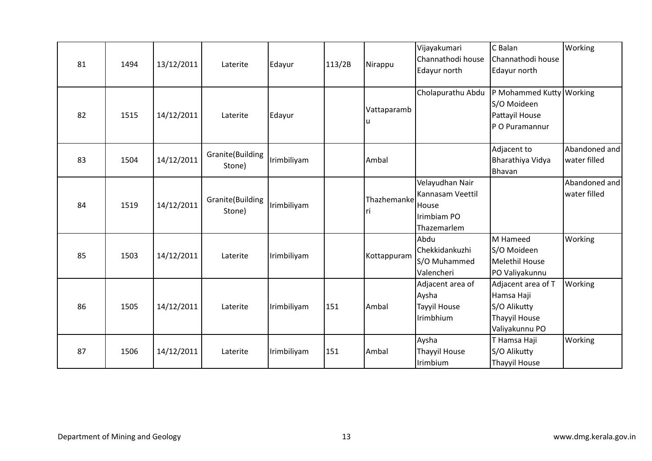| 81 | 1494 | 13/12/2011 | Laterite                   | Edayur      | 113/2B | Nirappu           | Vijayakumari<br>Channathodi house<br>Edayur north                          | C Balan<br>Channathodi house<br>Edayur north                                               | Working                       |
|----|------|------------|----------------------------|-------------|--------|-------------------|----------------------------------------------------------------------------|--------------------------------------------------------------------------------------------|-------------------------------|
| 82 | 1515 | 14/12/2011 | Laterite                   | Edayur      |        | Vattaparamb<br>u  | Cholapurathu Abdu                                                          | P Mohammed Kutty Working<br>S/O Moideen<br>Pattayil House<br>P O Puramannur                |                               |
| 83 | 1504 | 14/12/2011 | Granite(Building<br>Stone) | Irimbiliyam |        | Ambal             |                                                                            | Adjacent to<br>Bharathiya Vidya<br>Bhavan                                                  | Abandoned and<br>water filled |
| 84 | 1519 | 14/12/2011 | Granite(Building<br>Stone) | Irimbiliyam |        | Thazhemanke<br>rı | Velayudhan Nair<br>Kannasam Veettil<br>House<br>Irimbiam PO<br>Thazemarlem |                                                                                            | Abandoned and<br>water filled |
| 85 | 1503 | 14/12/2011 | Laterite                   | Irimbiliyam |        | Kottappuram       | Abdu<br>Chekkidankuzhi<br>S/O Muhammed<br>Valencheri                       | M Hameed<br>S/O Moideen<br><b>Melethil House</b><br>PO Valiyakunnu                         | Working                       |
| 86 | 1505 | 14/12/2011 | Laterite                   | Irimbiliyam | 151    | Ambal             | Adjacent area of<br>Aysha<br>Tayyil House<br>Irimbhium                     | Adjacent area of T<br>Hamsa Haji<br>S/O Alikutty<br><b>Thayyil House</b><br>Valiyakunnu PO | Working                       |
| 87 | 1506 | 14/12/2011 | Laterite                   | Irimbiliyam | 151    | Ambal             | Aysha<br>Thayyil House<br>Irimbium                                         | T Hamsa Haji<br>S/O Alikutty<br><b>Thayyil House</b>                                       | Working                       |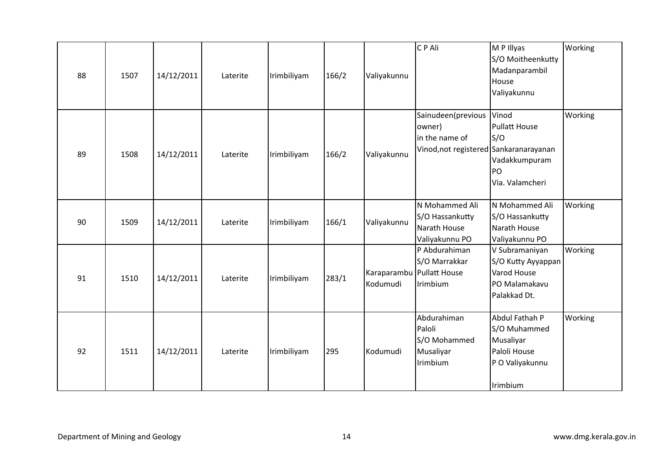| 88 | 1507 | 14/12/2011 | Laterite | Irimbiliyam | 166/2 | Valiyakunnu                           | C P Ali                                                                                  | M P Illyas<br>S/O Moitheenkutty<br>Madanparambil<br>House<br>Valiyakunnu                   | Working |
|----|------|------------|----------|-------------|-------|---------------------------------------|------------------------------------------------------------------------------------------|--------------------------------------------------------------------------------------------|---------|
| 89 | 1508 | 14/12/2011 | Laterite | Irimbiliyam | 166/2 | Valiyakunnu                           | Sainudeen(previous<br>owner)<br>in the name of<br>Vinod, not registered Sankaranarayanan | Vinod<br><b>Pullatt House</b><br>S/O<br>Vadakkumpuram<br>PO<br>Via. Valamcheri             | Working |
| 90 | 1509 | 14/12/2011 | Laterite | Irimbiliyam | 166/1 | Valiyakunnu                           | N Mohammed Ali<br>S/O Hassankutty<br>Narath House<br>Valiyakunnu PO                      | N Mohammed Ali<br>S/O Hassankutty<br>Narath House<br>Valiyakunnu PO                        | Working |
| 91 | 1510 | 14/12/2011 | Laterite | Irimbiliyam | 283/1 | Karaparambu Pullatt House<br>Kodumudi | P Abdurahiman<br>S/O Marrakkar<br>Irimbium                                               | V Subramaniyan<br>S/O Kutty Ayyappan<br>Varod House<br>PO Malamakavu<br>Palakkad Dt.       | Working |
| 92 | 1511 | 14/12/2011 | Laterite | Irimbiliyam | 295   | Kodumudi                              | Abdurahiman<br>Paloli<br>S/O Mohammed<br>Musaliyar<br>Irimbium                           | Abdul Fathah P<br>S/O Muhammed<br>Musaliyar<br>Paloli House<br>P O Valiyakunnu<br>Irimbium | Working |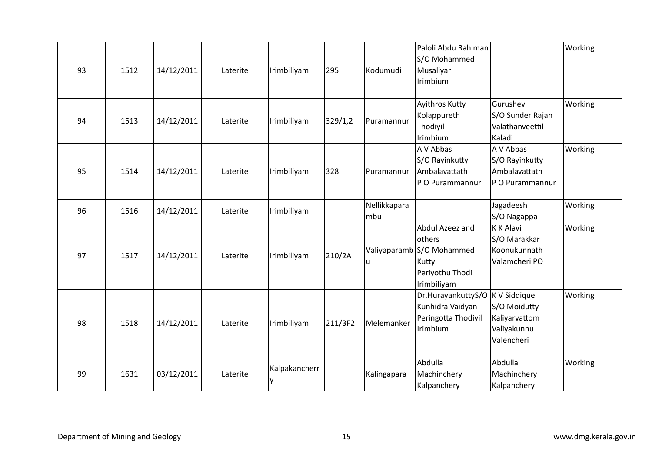| 93 | 1512 | 14/12/2011 | Laterite | Irimbiliyam        | 295     | Kodumudi            | Paloli Abdu Rahiman<br>S/O Mohammed<br>Musaliyar<br>Irimbium                                      |                                                                            | Working |
|----|------|------------|----------|--------------------|---------|---------------------|---------------------------------------------------------------------------------------------------|----------------------------------------------------------------------------|---------|
| 94 | 1513 | 14/12/2011 | Laterite | Irimbiliyam        | 329/1,2 | Puramannur          | Ayithros Kutty<br>Kolappureth<br>Thodiyil<br>Irimbium                                             | Gurushev<br>S/O Sunder Rajan<br>Valathanveettil<br>Kaladi                  | Working |
| 95 | 1514 | 14/12/2011 | Laterite | Irimbiliyam        | 328     | Puramannur          | A V Abbas<br>S/O Rayinkutty<br>Ambalavattath<br>P O Purammannur                                   | A V Abbas<br>S/O Rayinkutty<br>Ambalavattath<br>P O Purammannur            | Working |
| 96 | 1516 | 14/12/2011 | Laterite | Irimbiliyam        |         | Nellikkapara<br>mbu |                                                                                                   | Jagadeesh<br>S/O Nagappa                                                   | Working |
| 97 | 1517 | 14/12/2011 | Laterite | Irimbiliyam        | 210/2A  | u                   | Abdul Azeez and<br>others<br>Valiyaparamb S/O Mohammed<br>Kutty<br>Periyothu Thodi<br>Irimbiliyam | K K Alavi<br>S/O Marakkar<br>Koonukunnath<br>Valamcheri PO                 | Working |
| 98 | 1518 | 14/12/2011 | Laterite | Irimbiliyam        | 211/3F2 | Melemanker          | Dr.HurayankuttyS/O<br>Kunhidra Vaidyan<br>Peringotta Thodiyil<br>Irimbium                         | K V Siddique<br>S/O Moidutty<br>Kaliyarvattom<br>Valiyakunnu<br>Valencheri | Working |
| 99 | 1631 | 03/12/2011 | Laterite | Kalpakancherr<br>ν |         | Kalingapara         | Abdulla<br>Machinchery<br>Kalpanchery                                                             | Abdulla<br>Machinchery<br>Kalpanchery                                      | Working |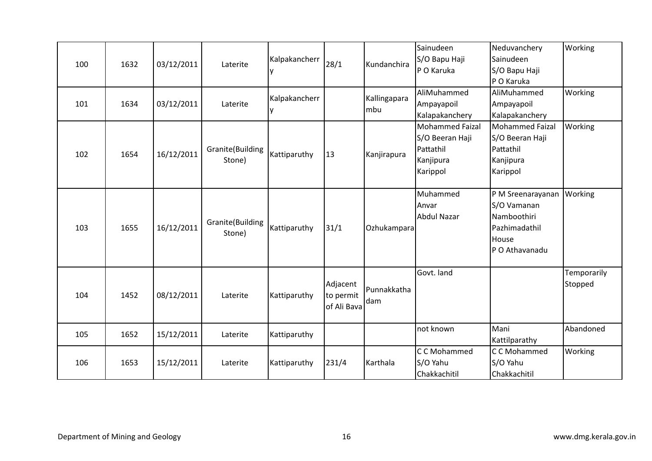| 100 | 1632 | 03/12/2011 | Laterite                   | Kalpakancherr      | 28/1                                 | Kundanchira         | Sainudeen<br>S/O Bapu Haji<br>P O Karuka                                        | Neduvanchery<br>Sainudeen<br>S/O Bapu Haji<br>P O Karuka                                    | Working                |
|-----|------|------------|----------------------------|--------------------|--------------------------------------|---------------------|---------------------------------------------------------------------------------|---------------------------------------------------------------------------------------------|------------------------|
| 101 | 1634 | 03/12/2011 | Laterite                   | Kalpakancherr<br>v |                                      | Kallingapara<br>mbu | AliMuhammed<br>Ampayapoil<br>Kalapakanchery                                     | AliMuhammed<br>Ampayapoil<br>Kalapakanchery                                                 | Working                |
| 102 | 1654 | 16/12/2011 | Granite(Building<br>Stone) | Kattiparuthy       | 13                                   | Kanjirapura         | <b>Mohammed Faizal</b><br>S/O Beeran Haji<br>Pattathil<br>Kanjipura<br>Karippol | <b>Mohammed Faizal</b><br>S/O Beeran Haji<br>Pattathil<br>Kanjipura<br>Karippol             | Working                |
| 103 | 1655 | 16/12/2011 | Granite(Building<br>Stone) | Kattiparuthy       | 31/1                                 | Ozhukampara         | Muhammed<br>Anvar<br><b>Abdul Nazar</b>                                         | P M Sreenarayanan<br>S/O Vamanan<br>Namboothiri<br>Pazhimadathil<br>House<br>P O Athavanadu | Working                |
| 104 | 1452 | 08/12/2011 | Laterite                   | Kattiparuthy       | Adjacent<br>to permit<br>of Ali Bava | Punnakkatha<br>dam  | Govt. land                                                                      |                                                                                             | Temporarily<br>Stopped |
| 105 | 1652 | 15/12/2011 | Laterite                   | Kattiparuthy       |                                      |                     | not known                                                                       | Mani<br>Kattilparathy                                                                       | Abandoned              |
| 106 | 1653 | 15/12/2011 | Laterite                   | Kattiparuthy       | 231/4                                | Karthala            | C C Mohammed<br>S/O Yahu<br>Chakkachitil                                        | C C Mohammed<br>S/O Yahu<br>Chakkachitil                                                    | Working                |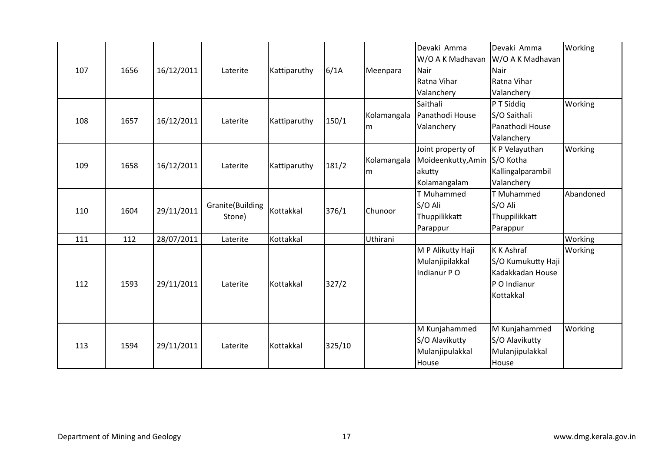| 107 | 1656 | 16/12/2011 | Laterite                   | Kattiparuthy | 6/1A   | Meenpara           | Devaki Amma<br>W/O A K Madhavan<br><b>Nair</b><br>Ratna Vihar<br>Valanchery | Devaki Amma<br>W/O A K Madhavan<br><b>Nair</b><br>Ratna Vihar<br>Valanchery       | Working   |
|-----|------|------------|----------------------------|--------------|--------|--------------------|-----------------------------------------------------------------------------|-----------------------------------------------------------------------------------|-----------|
| 108 | 1657 | 16/12/2011 | Laterite                   | Kattiparuthy | 150/1  | Kolamangala<br>l m | Saithali<br>Panathodi House<br>Valanchery                                   | P T Siddiq<br>S/O Saithali<br>Panathodi House<br>Valanchery                       | Working   |
| 109 | 1658 | 16/12/2011 | Laterite                   | Kattiparuthy | 181/2  | Kolamangala<br>lm. | Joint property of<br>Moideenkutty, Amin S/O Kotha<br>akutty<br>Kolamangalam | K P Velayuthan<br>Kallingalparambil<br>Valanchery                                 | Working   |
| 110 | 1604 | 29/11/2011 | Granite(Building<br>Stone) | Kottakkal    | 376/1  | Chunoor            | T Muhammed<br>S/O Ali<br>Thuppilikkatt<br>Parappur                          | T Muhammed<br>S/O Ali<br>Thuppilikkatt<br>Parappur                                | Abandoned |
| 111 | 112  | 28/07/2011 | Laterite                   | Kottakkal    |        | Uthirani           |                                                                             |                                                                                   | Working   |
| 112 | 1593 | 29/11/2011 | Laterite                   | Kottakkal    | 327/2  |                    | M P Alikutty Haji<br>Mulanjipilakkal<br>Indianur PO                         | K K Ashraf<br>S/O Kumukutty Haji<br>Kadakkadan House<br>P O Indianur<br>Kottakkal | Working   |
| 113 | 1594 | 29/11/2011 | Laterite                   | Kottakkal    | 325/10 |                    | M Kunjahammed<br>S/O Alavikutty<br>Mulanjipulakkal<br>House                 | M Kunjahammed<br>S/O Alavikutty<br>Mulanjipulakkal<br>House                       | Working   |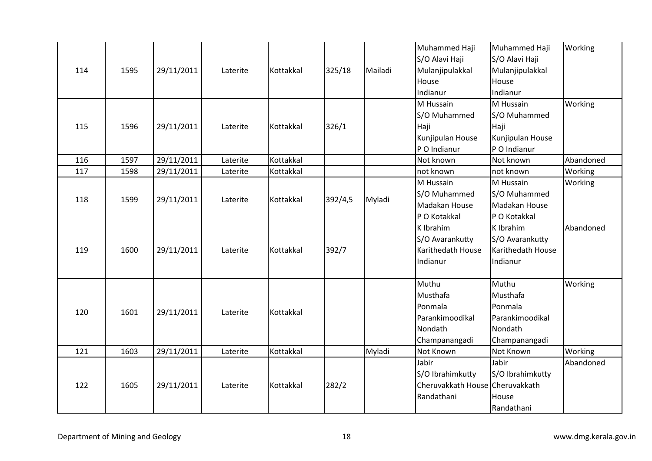|     |      |            |          |           |         |         | Muhammed Haji                   | Muhammed Haji     | Working   |
|-----|------|------------|----------|-----------|---------|---------|---------------------------------|-------------------|-----------|
|     |      |            |          |           |         |         | S/O Alavi Haji                  | S/O Alavi Haji    |           |
| 114 | 1595 | 29/11/2011 | Laterite | Kottakkal | 325/18  | Mailadi | Mulanjipulakkal                 | Mulanjipulakkal   |           |
|     |      |            |          |           |         |         | House                           | House             |           |
|     |      |            |          |           |         |         | Indianur                        | Indianur          |           |
|     |      |            |          |           |         |         | M Hussain                       | M Hussain         | Working   |
|     |      |            |          |           |         |         | S/O Muhammed                    | S/O Muhammed      |           |
| 115 | 1596 | 29/11/2011 | Laterite | Kottakkal | 326/1   |         | Haji                            | Haji              |           |
|     |      |            |          |           |         |         | Kunjipulan House                | Kunjipulan House  |           |
|     |      |            |          |           |         |         | P O Indianur                    | P O Indianur      |           |
| 116 | 1597 | 29/11/2011 | Laterite | Kottakkal |         |         | Not known                       | Not known         | Abandoned |
| 117 | 1598 | 29/11/2011 | Laterite | Kottakkal |         |         | not known                       | not known         | Working   |
|     |      |            |          |           |         |         | M Hussain                       | M Hussain         | Working   |
| 118 | 1599 | 29/11/2011 | Laterite | Kottakkal | 392/4,5 | Myladi  | S/O Muhammed                    | S/O Muhammed      |           |
|     |      |            |          |           |         |         | Madakan House                   | Madakan House     |           |
|     |      |            |          |           |         |         | P O Kotakkal                    | P O Kotakkal      |           |
|     |      |            |          |           |         |         | K Ibrahim                       | K Ibrahim         | Abandoned |
|     |      |            |          |           |         |         | S/O Avarankutty                 | S/O Avarankutty   |           |
| 119 | 1600 | 29/11/2011 | Laterite | Kottakkal | 392/7   |         | Karithedath House               | Karithedath House |           |
|     |      |            |          |           |         |         | Indianur                        | Indianur          |           |
|     |      |            |          |           |         |         |                                 |                   |           |
|     |      |            |          |           |         |         | Muthu                           | Muthu             | Working   |
|     |      |            |          |           |         |         | Musthafa                        | Musthafa          |           |
| 120 | 1601 | 29/11/2011 | Laterite | Kottakkal |         |         | Ponmala                         | Ponmala           |           |
|     |      |            |          |           |         |         | Parankimoodikal                 | Parankimoodikal   |           |
|     |      |            |          |           |         |         | Nondath                         | Nondath           |           |
|     |      |            |          |           |         |         | Champanangadi                   | Champanangadi     |           |
| 121 | 1603 | 29/11/2011 | Laterite | Kottakkal |         | Myladi  | Not Known                       | Not Known         | Working   |
|     |      |            |          |           |         |         | Jabir                           | Jabir             | Abandoned |
|     |      |            |          |           |         |         | S/O Ibrahimkutty                | S/O Ibrahimkutty  |           |
| 122 | 1605 | 29/11/2011 | Laterite | Kottakkal | 282/2   |         | Cheruvakkath House Cheruvakkath |                   |           |
|     |      |            |          |           |         |         | Randathani                      | House             |           |
|     |      |            |          |           |         |         |                                 | Randathani        |           |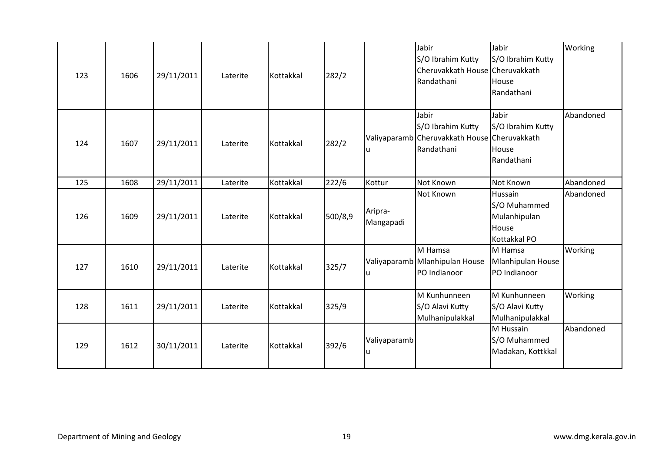| 123 | 1606 | 29/11/2011 | Laterite | Kottakkal | 282/2   |                      | Jabir<br>S/O Ibrahim Kutty<br>Cheruvakkath House Cheruvakkath<br>Randathani              | Jabir<br>S/O Ibrahim Kutty<br>House<br>Randathani                | Working   |
|-----|------|------------|----------|-----------|---------|----------------------|------------------------------------------------------------------------------------------|------------------------------------------------------------------|-----------|
| 124 | 1607 | 29/11/2011 | Laterite | Kottakkal | 282/2   | lu                   | Jabir<br>S/O Ibrahim Kutty<br>Valiyaparamb Cheruvakkath House Cheruvakkath<br>Randathani | Jabir<br>S/O Ibrahim Kutty<br>House<br>Randathani                | Abandoned |
| 125 | 1608 | 29/11/2011 | Laterite | Kottakkal | 222/6   | Kottur               | Not Known                                                                                | Not Known                                                        | Abandoned |
| 126 | 1609 | 29/11/2011 | Laterite | Kottakkal | 500/8,9 | Aripra-<br>Mangapadi | Not Known                                                                                | Hussain<br>S/O Muhammed<br>Mulanhipulan<br>House<br>Kottakkal PO | Abandoned |
| 127 | 1610 | 29/11/2011 | Laterite | Kottakkal | 325/7   | <b>u</b>             | M Hamsa<br>Valiyaparamb Mlanhipulan House<br>PO Indianoor                                | M Hamsa<br><b>Mlanhipulan House</b><br>PO Indianoor              | Working   |
| 128 | 1611 | 29/11/2011 | Laterite | Kottakkal | 325/9   |                      | M Kunhunneen<br>S/O Alavi Kutty<br>Mulhanipulakkal                                       | M Kunhunneen<br>S/O Alavi Kutty<br>Mulhanipulakkal               | Working   |
| 129 | 1612 | 30/11/2011 | Laterite | Kottakkal | 392/6   | Valiyaparamb<br>lu   |                                                                                          | M Hussain<br>S/O Muhammed<br>Madakan, Kottkkal                   | Abandoned |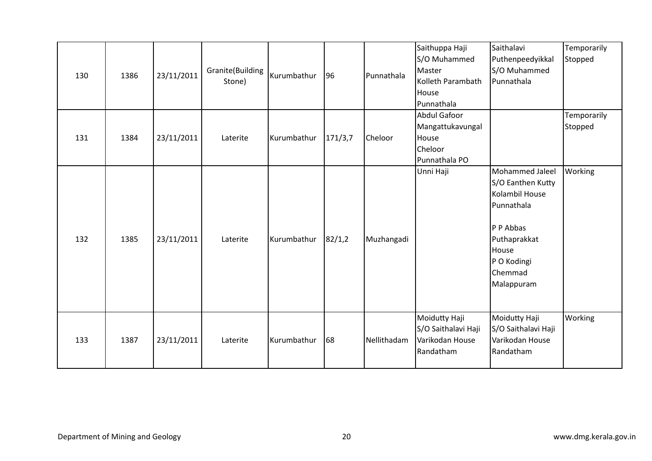| 130 | 1386 | 23/11/2011 | Granite(Building<br>Stone) | Kurumbathur | 96      | Punnathala  | Saithuppa Haji<br>S/O Muhammed<br>Master<br>Kolleth Parambath<br>House<br>Punnathala | Saithalavi<br>Puthenpeedyikkal<br>S/O Muhammed<br>Punnathala                                                                                       | Temporarily<br>Stopped |
|-----|------|------------|----------------------------|-------------|---------|-------------|--------------------------------------------------------------------------------------|----------------------------------------------------------------------------------------------------------------------------------------------------|------------------------|
| 131 | 1384 | 23/11/2011 | Laterite                   | Kurumbathur | 171/3,7 | Cheloor     | <b>Abdul Gafoor</b><br>Mangattukavungal<br>House<br>Cheloor<br>Punnathala PO         |                                                                                                                                                    | Temporarily<br>Stopped |
| 132 | 1385 | 23/11/2011 | Laterite                   | Kurumbathur | 82/1,2  | Muzhangadi  | Unni Haji                                                                            | Mohammed Jaleel<br>S/O Eanthen Kutty<br>Kolambil House<br>Punnathala<br>P P Abbas<br>Puthaprakkat<br>House<br>P O Kodingi<br>Chemmad<br>Malappuram | Working                |
| 133 | 1387 | 23/11/2011 | Laterite                   | Kurumbathur | 68      | Nellithadam | Moidutty Haji<br>S/O Saithalavi Haji<br>Varikodan House<br>Randatham                 | Moidutty Haji<br>S/O Saithalavi Haji<br>Varikodan House<br>Randatham                                                                               | Working                |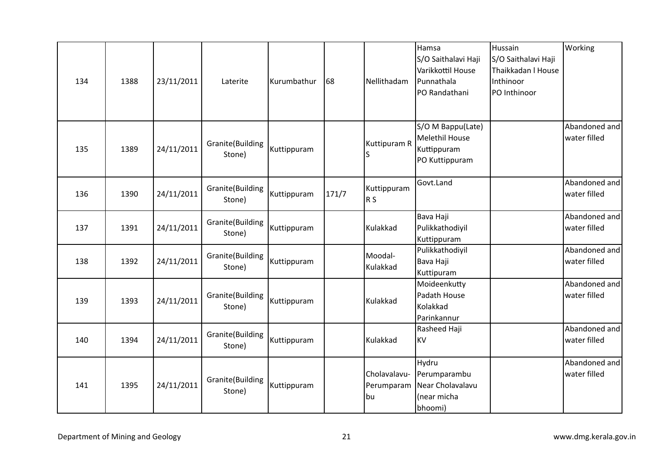| 134 | 1388 | 23/11/2011 | Laterite                   | Kurumbathur | 68    | Nellithadam                      | Hamsa<br>S/O Saithalavi Haji<br>Varikkottil House<br>Punnathala<br>PO Randathani | Hussain<br>S/O Saithalavi Haji<br>Thaikkadan I House<br>Inthinoor<br>PO Inthinoor | Working                       |
|-----|------|------------|----------------------------|-------------|-------|----------------------------------|----------------------------------------------------------------------------------|-----------------------------------------------------------------------------------|-------------------------------|
| 135 | 1389 | 24/11/2011 | Granite(Building<br>Stone) | Kuttippuram |       | Kuttipuram R<br>S                | S/O M Bappu(Late)<br>Melethil House<br>Kuttippuram<br>PO Kuttippuram             |                                                                                   | Abandoned and<br>water filled |
| 136 | 1390 | 24/11/2011 | Granite(Building<br>Stone) | Kuttippuram | 171/7 | Kuttippuram<br>R <sub>S</sub>    | Govt.Land                                                                        |                                                                                   | Abandoned and<br>water filled |
| 137 | 1391 | 24/11/2011 | Granite(Building<br>Stone) | Kuttippuram |       | Kulakkad                         | Bava Haji<br>Pulikkathodiyil<br>Kuttippuram                                      |                                                                                   | Abandoned and<br>water filled |
| 138 | 1392 | 24/11/2011 | Granite(Building<br>Stone) | Kuttippuram |       | Moodal-<br>Kulakkad              | Pulikkathodiyil<br>Bava Haji<br>Kuttipuram                                       |                                                                                   | Abandoned and<br>water filled |
| 139 | 1393 | 24/11/2011 | Granite(Building<br>Stone) | Kuttippuram |       | Kulakkad                         | Moideenkutty<br>Padath House<br>Kolakkad<br>Parinkannur                          |                                                                                   | Abandoned and<br>water filled |
| 140 | 1394 | 24/11/2011 | Granite(Building<br>Stone) | Kuttippuram |       | Kulakkad                         | Rasheed Haji<br><b>KV</b>                                                        |                                                                                   | Abandoned and<br>water filled |
| 141 | 1395 | 24/11/2011 | Granite(Building<br>Stone) | Kuttippuram |       | Cholavalavu-<br>Perumparam<br>bu | Hydru<br>Perumparambu<br>Near Cholavalavu<br>(near micha<br>bhoomi)              |                                                                                   | Abandoned and<br>water filled |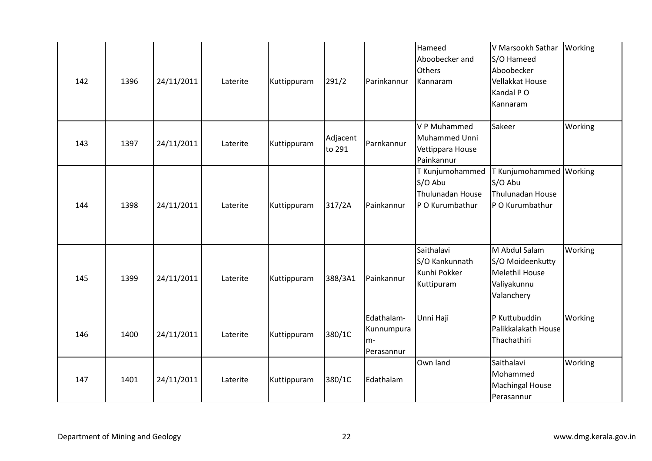| 142 | 1396 | 24/11/2011 | Laterite | Kuttippuram | 291/2              | Parinkannur                                    | Hameed<br>Aboobecker and<br><b>Others</b><br>Kannaram            | V Marsookh Sathar<br>S/O Hameed<br>Aboobecker<br><b>Vellakkat House</b><br>Kandal PO<br>Kannaram | Working |
|-----|------|------------|----------|-------------|--------------------|------------------------------------------------|------------------------------------------------------------------|--------------------------------------------------------------------------------------------------|---------|
| 143 | 1397 | 24/11/2011 | Laterite | Kuttippuram | Adjacent<br>to 291 | Parnkannur                                     | V P Muhammed<br>Muhammed Unni<br>Vettippara House<br>Painkannur  | Sakeer                                                                                           | Working |
| 144 | 1398 | 24/11/2011 | Laterite | Kuttippuram | 317/2A             | Painkannur                                     | T Kunjumohammed<br>S/O Abu<br>Thulunadan House<br>PO Kurumbathur | T Kunjumohammed Working<br>S/O Abu<br>Thulunadan House<br>PO Kurumbathur                         |         |
| 145 | 1399 | 24/11/2011 | Laterite | Kuttippuram | 388/3A1            | Painkannur                                     | Saithalavi<br>S/O Kankunnath<br>Kunhi Pokker<br>Kuttipuram       | M Abdul Salam<br>S/O Moideenkutty<br><b>Melethil House</b><br>Valiyakunnu<br>Valanchery          | Working |
| 146 | 1400 | 24/11/2011 | Laterite | Kuttippuram | 380/1C             | Edathalam-<br>Kunnumpura<br>$m-$<br>Perasannur | Unni Haji                                                        | P Kuttubuddin<br>Palikkalakath House<br>Thachathiri                                              | Working |
| 147 | 1401 | 24/11/2011 | Laterite | Kuttippuram | 380/1C             | Edathalam                                      | Own land                                                         | Saithalavi<br>Mohammed<br><b>Machingal House</b><br>Perasannur                                   | Working |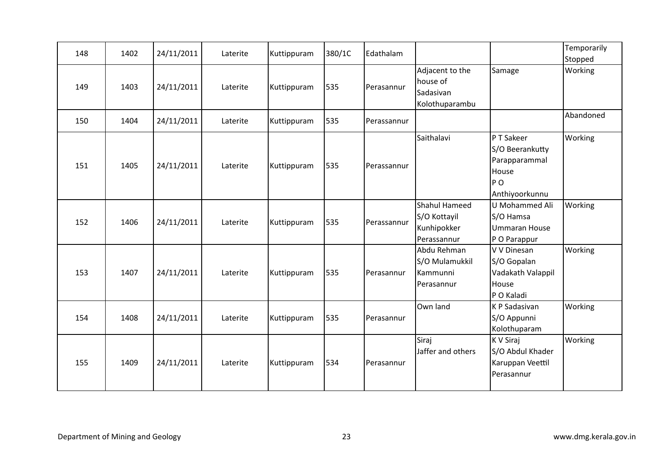| 148 | 1402 | 24/11/2011 | Laterite | Kuttippuram | 380/1C | Edathalam   |                                                             |                                                                                 | Temporarily<br>Stopped |
|-----|------|------------|----------|-------------|--------|-------------|-------------------------------------------------------------|---------------------------------------------------------------------------------|------------------------|
| 149 | 1403 | 24/11/2011 | Laterite | Kuttippuram | 535    | Perasannur  | Adjacent to the<br>house of<br>Sadasivan<br>Kolothuparambu  | Samage                                                                          | Working                |
| 150 | 1404 | 24/11/2011 | Laterite | Kuttippuram | 535    | Perassannur |                                                             |                                                                                 | Abandoned              |
| 151 | 1405 | 24/11/2011 | Laterite | Kuttippuram | 535    | Perassannur | Saithalavi                                                  | P T Sakeer<br>S/O Beerankutty<br>Parapparammal<br>House<br>PO<br>Anthiyoorkunnu | Working                |
| 152 | 1406 | 24/11/2011 | Laterite | Kuttippuram | 535    | Perassannur | Shahul Hameed<br>S/O Kottayil<br>Kunhipokker<br>Perassannur | U Mohammed Ali<br>S/O Hamsa<br><b>Ummaran House</b><br>P O Parappur             | Working                |
| 153 | 1407 | 24/11/2011 | Laterite | Kuttippuram | 535    | Perasannur  | Abdu Rehman<br>S/O Mulamukkil<br>Kammunni<br>Perasannur     | V V Dinesan<br>S/O Gopalan<br>Vadakath Valappil<br>House<br>P O Kaladi          | Working                |
| 154 | 1408 | 24/11/2011 | Laterite | Kuttippuram | 535    | Perasannur  | Own land                                                    | K P Sadasivan<br>S/O Appunni<br>Kolothuparam                                    | Working                |
| 155 | 1409 | 24/11/2011 | Laterite | Kuttippuram | 534    | Perasannur  | Siraj<br>Jaffer and others                                  | K V Siraj<br>S/O Abdul Khader<br>Karuppan Veettil<br>Perasannur                 | Working                |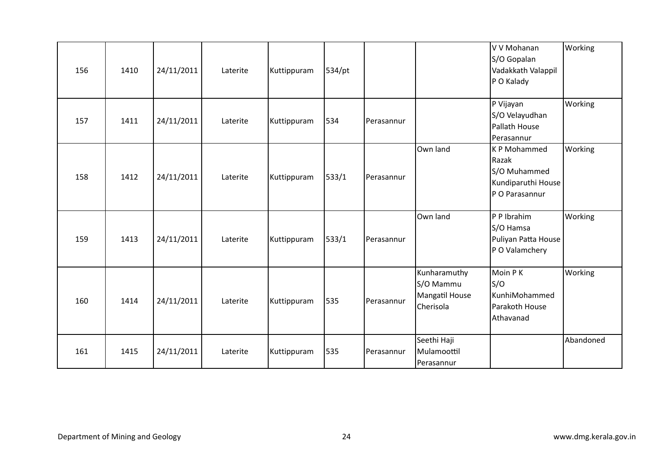| 156 | 1410 | 24/11/2011 | Laterite | Kuttippuram | 534/pt |            |                                                          | V V Mohanan<br>S/O Gopalan<br>Vadakkath Valappil<br>P O Kalady                | Working   |
|-----|------|------------|----------|-------------|--------|------------|----------------------------------------------------------|-------------------------------------------------------------------------------|-----------|
| 157 | 1411 | 24/11/2011 | Laterite | Kuttippuram | 534    | Perasannur |                                                          | P Vijayan<br>S/O Velayudhan<br>Pallath House<br>Perasannur                    | Working   |
| 158 | 1412 | 24/11/2011 | Laterite | Kuttippuram | 533/1  | Perasannur | Own land                                                 | K P Mohammed<br>Razak<br>S/O Muhammed<br>Kundiparuthi House<br>P O Parasannur | Working   |
| 159 | 1413 | 24/11/2011 | Laterite | Kuttippuram | 533/1  | Perasannur | Own land                                                 | P P Ibrahim<br>S/O Hamsa<br>Puliyan Patta House<br>P O Valamchery             | Working   |
| 160 | 1414 | 24/11/2011 | Laterite | Kuttippuram | 535    | Perasannur | Kunharamuthy<br>S/O Mammu<br>Mangatil House<br>Cherisola | Moin P K<br>S/O<br>KunhiMohammed<br>Parakoth House<br>Athavanad               | Working   |
| 161 | 1415 | 24/11/2011 | Laterite | Kuttippuram | 535    | Perasannur | Seethi Haji<br>Mulamoottil<br>Perasannur                 |                                                                               | Abandoned |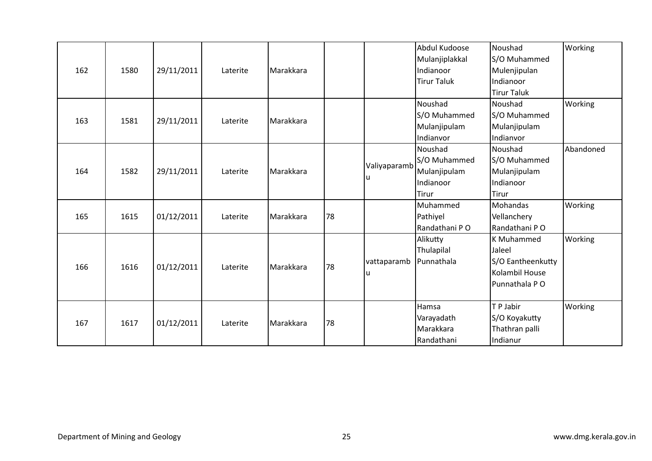|     |      |            |          |           |    |              | Abdul Kudoose      | Noushad            | Working   |
|-----|------|------------|----------|-----------|----|--------------|--------------------|--------------------|-----------|
|     |      |            |          |           |    |              | Mulanjiplakkal     | S/O Muhammed       |           |
| 162 | 1580 | 29/11/2011 | Laterite | Marakkara |    |              | Indianoor          | Mulenjipulan       |           |
|     |      |            |          |           |    |              | <b>Tirur Taluk</b> | Indianoor          |           |
|     |      |            |          |           |    |              |                    | <b>Tirur Taluk</b> |           |
|     |      |            |          |           |    |              | Noushad            | Noushad            | Working   |
| 163 | 1581 |            | Laterite | Marakkara |    |              | S/O Muhammed       | S/O Muhammed       |           |
|     |      | 29/11/2011 |          |           |    |              | Mulanjipulam       | Mulanjipulam       |           |
|     |      |            |          |           |    |              | Indianvor          | Indianvor          |           |
|     |      |            |          |           |    |              | Noushad            | Noushad            | Abandoned |
|     |      |            |          |           |    | Valiyaparamb | S/O Muhammed       | S/O Muhammed       |           |
| 164 | 1582 | 29/11/2011 | Laterite | Marakkara |    |              | Mulanjipulam       | Mulanjipulam       |           |
|     |      |            |          |           |    |              | Indianoor          | Indianoor          |           |
|     |      |            |          |           |    |              | <b>Tirur</b>       | Tirur              |           |
|     |      |            |          |           |    |              | Muhammed           | Mohandas           | Working   |
| 165 | 1615 | 01/12/2011 | Laterite | Marakkara | 78 |              | Pathiyel           | Vellanchery        |           |
|     |      |            |          |           |    |              | Randathani PO      | Randathani PO      |           |
|     |      |            |          |           |    |              | Alikutty           | K Muhammed         | Working   |
|     |      |            |          |           |    |              | Thulapilal         | Jaleel             |           |
| 166 | 1616 | 01/12/2011 | Laterite | Marakkara | 78 | vattaparamb  | Punnathala         | S/O Eantheenkutty  |           |
|     |      |            |          |           |    | lu           |                    | Kolambil House     |           |
|     |      |            |          |           |    |              |                    | Punnathala PO      |           |
|     |      |            |          |           |    |              |                    |                    |           |
|     |      |            |          |           |    |              | Hamsa              | T P Jabir          | Working   |
|     | 1617 |            |          |           | 78 |              | Varayadath         | S/O Koyakutty      |           |
| 167 |      | 01/12/2011 | Laterite | Marakkara |    |              | Marakkara          | Thathran palli     |           |
|     |      |            |          |           |    |              | Randathani         | Indianur           |           |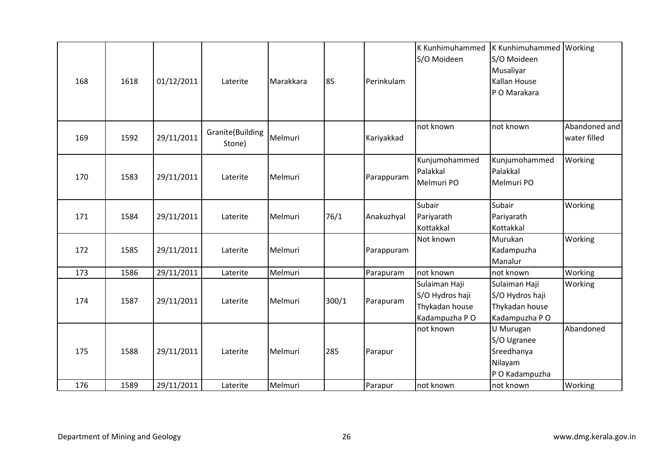| 168 | 1618 | 01/12/2011 | Laterite                   | Marakkara | 85    | Perinkulam | K Kunhimuhammed<br>S/O Moideen                                      | K Kunhimuhammed Working<br>S/O Moideen<br>Musaliyar<br>Kallan House<br>P O Marakara |                               |
|-----|------|------------|----------------------------|-----------|-------|------------|---------------------------------------------------------------------|-------------------------------------------------------------------------------------|-------------------------------|
| 169 | 1592 | 29/11/2011 | Granite(Building<br>Stone) | Melmuri   |       | Kariyakkad | not known                                                           | not known                                                                           | Abandoned and<br>water filled |
| 170 | 1583 | 29/11/2011 | Laterite                   | Melmuri   |       | Parappuram | Kunjumohammed<br>Palakkal<br>Melmuri PO                             | Kunjumohammed<br>Palakkal<br>Melmuri PO                                             | Working                       |
| 171 | 1584 | 29/11/2011 | Laterite                   | Melmuri   | 76/1  | Anakuzhyal | Subair<br>Pariyarath<br>Kottakkal                                   | Subair<br>Pariyarath<br>Kottakkal                                                   | Working                       |
| 172 | 1585 | 29/11/2011 | Laterite                   | Melmuri   |       | Parappuram | Not known                                                           | Murukan<br>Kadampuzha<br>Manalur                                                    | Working                       |
| 173 | 1586 | 29/11/2011 | Laterite                   | Melmuri   |       | Parapuram  | not known                                                           | not known                                                                           | Working                       |
| 174 | 1587 | 29/11/2011 | Laterite                   | Melmuri   | 300/1 | Parapuram  | Sulaiman Haji<br>S/O Hydros haji<br>Thykadan house<br>Kadampuzha PO | Sulaiman Haji<br>S/O Hydros haji<br>Thykadan house<br>Kadampuzha PO                 | Working                       |
| 175 | 1588 | 29/11/2011 | Laterite                   | Melmuri   | 285   | Parapur    | not known                                                           | U Murugan<br>S/O Ugranee<br>Sreedhanya<br>Nilayam<br>P O Kadampuzha                 | Abandoned                     |
| 176 | 1589 | 29/11/2011 | Laterite                   | Melmuri   |       | Parapur    | not known                                                           | not known                                                                           | Working                       |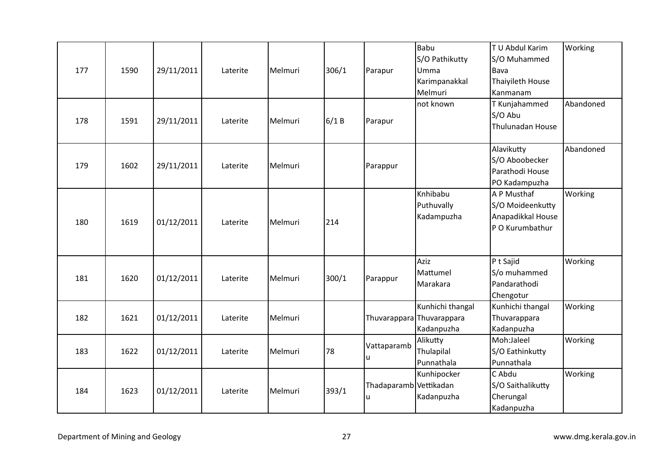| 177<br>178 | 1590<br>1591 | 29/11/2011<br>29/11/2011 | Laterite<br>Laterite | Melmuri<br>Melmuri | 306/1<br>6/1 B | Parapur<br>Parapur          | <b>Babu</b><br>S/O Pathikutty<br>Umma<br>Karimpanakkal<br>Melmuri<br>not known | T U Abdul Karim<br>S/O Muhammed<br>Bava<br>Thaiyileth House<br>Kanmanam<br>T Kunjahammed<br>S/O Abu<br>Thulunadan House | Working<br>Abandoned |
|------------|--------------|--------------------------|----------------------|--------------------|----------------|-----------------------------|--------------------------------------------------------------------------------|-------------------------------------------------------------------------------------------------------------------------|----------------------|
| 179        | 1602         | 29/11/2011               | Laterite             | Melmuri            |                | Parappur                    |                                                                                | Alavikutty<br>S/O Aboobecker<br>Parathodi House<br>PO Kadampuzha                                                        | Abandoned            |
| 180        | 1619         | 01/12/2011               | Laterite             | Melmuri            | 214            |                             | Knhibabu<br>Puthuvally<br>Kadampuzha                                           | A P Musthaf<br>S/O Moideenkutty<br>Anapadikkal House<br>PO Kurumbathur                                                  | Working              |
| 181        | 1620         | 01/12/2011               | Laterite             | Melmuri            | 300/1          | Parappur                    | Aziz<br>Mattumel<br>Marakara                                                   | P t Sajid<br>S/o muhammed<br>Pandarathodi<br>Chengotur                                                                  | Working              |
| 182        | 1621         | 01/12/2011               | Laterite             | Melmuri            |                |                             | Kunhichi thangal<br>Thuvarappara Thuvarappara<br>Kadanpuzha                    | Kunhichi thangal<br>Thuvarappara<br>Kadanpuzha                                                                          | Working              |
| 183        | 1622         | 01/12/2011               | Laterite             | Melmuri            | 78             | Vattaparamb<br><b>u</b>     | Alikutty<br>Thulapilal<br>Punnathala                                           | Moh:Jaleel<br>S/O Eathinkutty<br>Punnathala                                                                             | Working              |
| 184        | 1623         | 01/12/2011               | Laterite             | Melmuri            | 393/1          | Thadaparamb Vettikadan<br>u | Kunhipocker<br>Kadanpuzha                                                      | C Abdu<br>S/O Saithalikutty<br>Cherungal<br>Kadanpuzha                                                                  | Working              |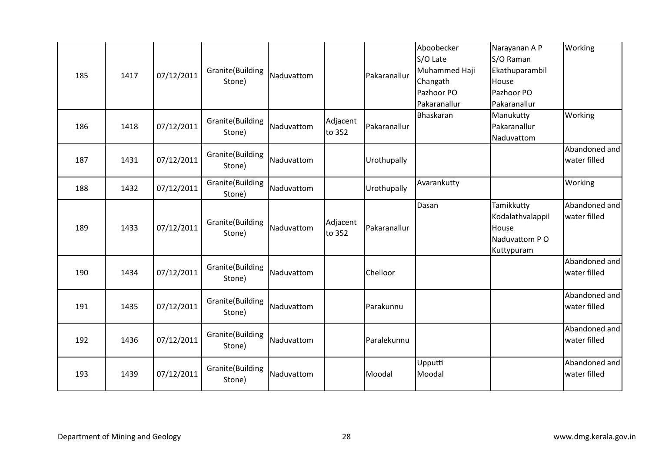| 185 | 1417 | 07/12/2011 | Granite(Building<br>Stone) | Naduvattom |                    | Pakaranallur | Aboobecker<br>S/O Late<br>Muhammed Haji<br>Changath<br>Pazhoor PO<br>Pakaranallur | Narayanan A P<br>S/O Raman<br>Ekathuparambil<br>House<br>Pazhoor PO<br>Pakaranallur | Working                       |
|-----|------|------------|----------------------------|------------|--------------------|--------------|-----------------------------------------------------------------------------------|-------------------------------------------------------------------------------------|-------------------------------|
| 186 | 1418 | 07/12/2011 | Granite(Building<br>Stone) | Naduvattom | Adjacent<br>to 352 | Pakaranallur | Bhaskaran                                                                         | Manukutty<br>Pakaranallur<br>Naduvattom                                             | Working                       |
| 187 | 1431 | 07/12/2011 | Granite(Building<br>Stone) | Naduvattom |                    | Urothupally  |                                                                                   |                                                                                     | Abandoned and<br>water filled |
| 188 | 1432 | 07/12/2011 | Granite(Building<br>Stone) | Naduvattom |                    | Urothupally  | Avarankutty                                                                       |                                                                                     | Working                       |
| 189 | 1433 | 07/12/2011 | Granite(Building<br>Stone) | Naduvattom | Adjacent<br>to 352 | Pakaranallur | Dasan                                                                             | Tamikkutty<br>Kodalathvalappil<br>House<br>Naduvattom PO<br>Kuttypuram              | Abandoned and<br>water filled |
| 190 | 1434 | 07/12/2011 | Granite(Building<br>Stone) | Naduvattom |                    | Chelloor     |                                                                                   |                                                                                     | Abandoned and<br>water filled |
| 191 | 1435 | 07/12/2011 | Granite(Building<br>Stone) | Naduvattom |                    | Parakunnu    |                                                                                   |                                                                                     | Abandoned and<br>water filled |
| 192 | 1436 | 07/12/2011 | Granite(Building<br>Stone) | Naduvattom |                    | Paralekunnu  |                                                                                   |                                                                                     | Abandoned and<br>water filled |
| 193 | 1439 | 07/12/2011 | Granite(Building<br>Stone) | Naduvattom |                    | Moodal       | Upputti<br>Moodal                                                                 |                                                                                     | Abandoned and<br>water filled |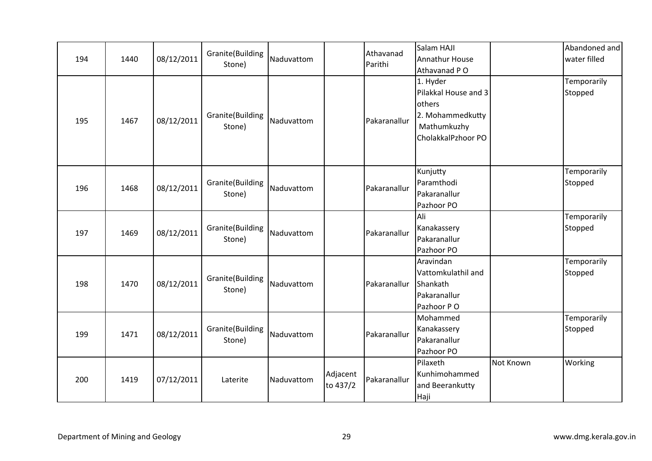| 194 | 1440 | 08/12/2011 | Granite(Building<br>Stone) | Naduvattom |                      | Athavanad<br>Parithi | Salam HAJI<br><b>Annathur House</b><br>Athavanad PO                                                 |           | Abandoned and<br>water filled |
|-----|------|------------|----------------------------|------------|----------------------|----------------------|-----------------------------------------------------------------------------------------------------|-----------|-------------------------------|
| 195 | 1467 | 08/12/2011 | Granite(Building<br>Stone) | Naduvattom |                      | Pakaranallur         | 1. Hyder<br>Pilakkal House and 3<br>others<br>2. Mohammedkutty<br>Mathumkuzhy<br>CholakkalPzhoor PO |           | Temporarily<br>Stopped        |
| 196 | 1468 | 08/12/2011 | Granite(Building<br>Stone) | Naduvattom |                      | Pakaranallur         | Kunjutty<br>Paramthodi<br>Pakaranallur<br>Pazhoor PO                                                |           | Temporarily<br>Stopped        |
| 197 | 1469 | 08/12/2011 | Granite(Building<br>Stone) | Naduvattom |                      | Pakaranallur         | Ali<br>Kanakassery<br>Pakaranallur<br>Pazhoor PO                                                    |           | Temporarily<br>Stopped        |
| 198 | 1470 | 08/12/2011 | Granite(Building<br>Stone) | Naduvattom |                      | Pakaranallur         | Aravindan<br>Vattomkulathil and<br>Shankath<br>Pakaranallur<br>Pazhoor PO                           |           | Temporarily<br>Stopped        |
| 199 | 1471 | 08/12/2011 | Granite(Building<br>Stone) | Naduvattom |                      | Pakaranallur         | Mohammed<br>Kanakassery<br>Pakaranallur<br>Pazhoor PO                                               |           | Temporarily<br>Stopped        |
| 200 | 1419 | 07/12/2011 | Laterite                   | Naduvattom | Adjacent<br>to 437/2 | Pakaranallur         | Pilaxeth<br>Kunhimohammed<br>and Beerankutty<br>Haji                                                | Not Known | Working                       |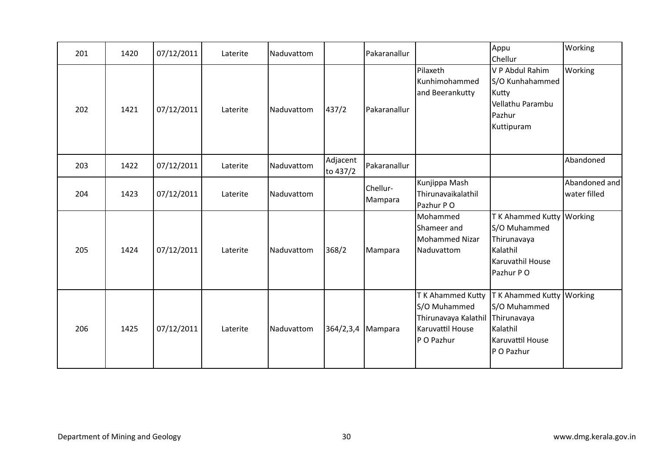| 201 | 1420 | 07/12/2011 | Laterite | Naduvattom |                      | Pakaranallur        |                                                                                             | Appu<br>Chellur                                                                                        | Working                       |
|-----|------|------------|----------|------------|----------------------|---------------------|---------------------------------------------------------------------------------------------|--------------------------------------------------------------------------------------------------------|-------------------------------|
| 202 | 1421 | 07/12/2011 | Laterite | Naduvattom | 437/2                | Pakaranallur        | Pilaxeth<br>Kunhimohammed<br>and Beerankutty                                                | V P Abdul Rahim<br>S/O Kunhahammed<br>Kutty<br>Vellathu Parambu<br>Pazhur<br>Kuttipuram                | Working                       |
| 203 | 1422 | 07/12/2011 | Laterite | Naduvattom | Adjacent<br>to 437/2 | Pakaranallur        |                                                                                             |                                                                                                        | Abandoned                     |
| 204 | 1423 | 07/12/2011 | Laterite | Naduvattom |                      | Chellur-<br>Mampara | Kunjippa Mash<br>Thirunavaikalathil<br>Pazhur PO                                            |                                                                                                        | Abandoned and<br>water filled |
| 205 | 1424 | 07/12/2011 | Laterite | Naduvattom | 368/2                | Mampara             | Mohammed<br>Shameer and<br>Mohammed Nizar<br>Naduvattom                                     | T K Ahammed Kutty Working<br>S/O Muhammed<br>Thirunavaya<br>Kalathil<br>Karuvathil House<br>Pazhur PO  |                               |
| 206 | 1425 | 07/12/2011 | Laterite | Naduvattom | 364/2,3,4            | Mampara             | T K Ahammed Kutty<br>S/O Muhammed<br>Thirunavaya Kalathil<br>Karuvattil House<br>P O Pazhur | T K Ahammed Kutty Working<br>S/O Muhammed<br>Thirunavaya<br>Kalathil<br>Karuvattil House<br>P O Pazhur |                               |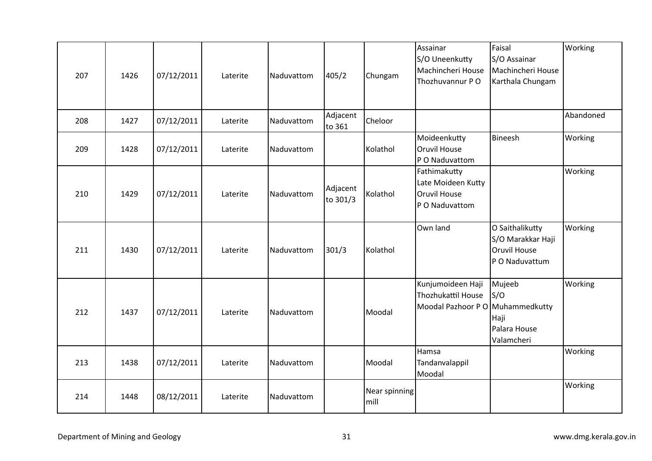| 207 | 1426 | 07/12/2011 | Laterite | Naduvattom | 405/2                | Chungam               | Assainar<br>S/O Uneenkutty<br>Machincheri House<br>Thozhuvannur PO          | Faisal<br>S/O Assainar<br>Machincheri House<br>Karthala Chungam               | Working   |
|-----|------|------------|----------|------------|----------------------|-----------------------|-----------------------------------------------------------------------------|-------------------------------------------------------------------------------|-----------|
| 208 | 1427 | 07/12/2011 | Laterite | Naduvattom | Adjacent<br>to 361   | Cheloor               |                                                                             |                                                                               | Abandoned |
| 209 | 1428 | 07/12/2011 | Laterite | Naduvattom |                      | Kolathol              | Moideenkutty<br><b>Oruvil House</b><br>P O Naduvattom                       | Bineesh                                                                       | Working   |
| 210 | 1429 | 07/12/2011 | Laterite | Naduvattom | Adjacent<br>to 301/3 | Kolathol              | Fathimakutty<br>Late Moideen Kutty<br><b>Oruvil House</b><br>P O Naduvattom |                                                                               | Working   |
| 211 | 1430 | 07/12/2011 | Laterite | Naduvattom | 301/3                | Kolathol              | Own land                                                                    | O Saithalikutty<br>S/O Marakkar Haji<br><b>Oruvil House</b><br>P O Naduvattum | Working   |
| 212 | 1437 | 07/12/2011 | Laterite | Naduvattom |                      | Moodal                | Kunjumoideen Haji<br>Thozhukattil House<br>Moodal Pazhoor P O Muhammedkutty | Mujeeb<br>S/O<br>Haji<br>Palara House<br>Valamcheri                           | Working   |
| 213 | 1438 | 07/12/2011 | Laterite | Naduvattom |                      | Moodal                | Hamsa<br>Tandanvalappil<br>Moodal                                           |                                                                               | Working   |
| 214 | 1448 | 08/12/2011 | Laterite | Naduvattom |                      | Near spinning<br>mill |                                                                             |                                                                               | Working   |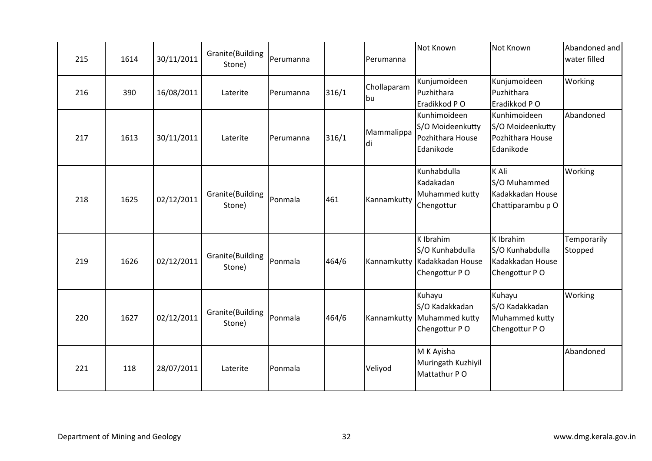| 215 | 1614 | 30/11/2011 | Granite(Building<br>Stone) | Perumanna |       | Perumanna         | Not Known                                                         | Not Known                                                         | Abandoned and<br>water filled |
|-----|------|------------|----------------------------|-----------|-------|-------------------|-------------------------------------------------------------------|-------------------------------------------------------------------|-------------------------------|
| 216 | 390  | 16/08/2011 | Laterite                   | Perumanna | 316/1 | Chollaparam<br>bu | Kunjumoideen<br>Puzhithara<br>Eradikkod PO                        | Kunjumoideen<br>Puzhithara<br>Eradikkod PO                        | Working                       |
| 217 | 1613 | 30/11/2011 | Laterite                   | Perumanna | 316/1 | Mammalippa<br>di  | Kunhimoideen<br>S/O Moideenkutty<br>Pozhithara House<br>Edanikode | Kunhimoideen<br>S/O Moideenkutty<br>Pozhithara House<br>Edanikode | Abandoned                     |
| 218 | 1625 | 02/12/2011 | Granite(Building<br>Stone) | Ponmala   | 461   | Kannamkutty       | Kunhabdulla<br>Kadakadan<br>Muhammed kutty<br>Chengottur          | K Ali<br>S/O Muhammed<br>Kadakkadan House<br>Chattiparambu p O    | Working                       |
| 219 | 1626 | 02/12/2011 | Granite(Building<br>Stone) | Ponmala   | 464/6 | Kannamkutty       | K Ibrahim<br>S/O Kunhabdulla<br>Kadakkadan House<br>Chengottur PO | K Ibrahim<br>S/O Kunhabdulla<br>Kadakkadan House<br>Chengottur PO | Temporarily<br>Stopped        |
| 220 | 1627 | 02/12/2011 | Granite(Building<br>Stone) | Ponmala   | 464/6 | Kannamkutty       | Kuhayu<br>S/O Kadakkadan<br>Muhammed kutty<br>Chengottur PO       | Kuhayu<br>S/O Kadakkadan<br>Muhammed kutty<br>Chengottur PO       | Working                       |
| 221 | 118  | 28/07/2011 | Laterite                   | Ponmala   |       | Veliyod           | M K Ayisha<br>Muringath Kuzhiyil<br>Mattathur PO                  |                                                                   | Abandoned                     |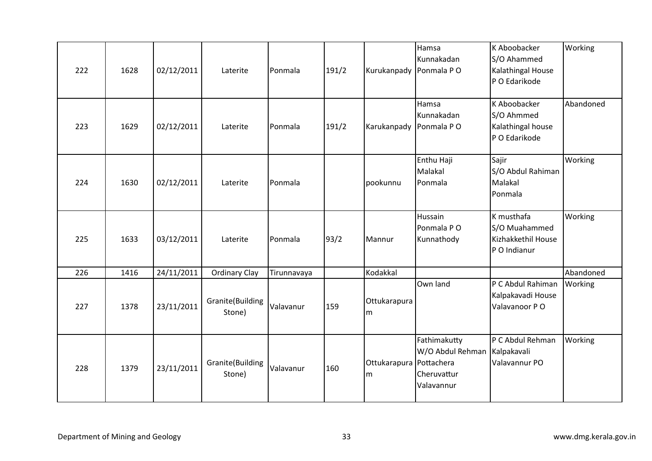| 222 | 1628 | 02/12/2011 | Laterite                   | Ponmala     | 191/2 | Kurukanpady                  | Hamsa<br>Kunnakadan<br>Ponmala PO                             | K Aboobacker<br>S/O Ahammed<br>Kalathingal House<br>P O Edarikode | Working   |
|-----|------|------------|----------------------------|-------------|-------|------------------------------|---------------------------------------------------------------|-------------------------------------------------------------------|-----------|
| 223 | 1629 | 02/12/2011 | Laterite                   | Ponmala     | 191/2 | Karukanpady                  | Hamsa<br>Kunnakadan<br>Ponmala PO                             | K Aboobacker<br>S/O Ahmmed<br>Kalathingal house<br>P O Edarikode  | Abandoned |
| 224 | 1630 | 02/12/2011 | Laterite                   | Ponmala     |       | pookunnu                     | Enthu Haji<br>Malakal<br>Ponmala                              | Sajir<br>S/O Abdul Rahiman<br>Malakal<br>Ponmala                  | Working   |
| 225 | 1633 | 03/12/2011 | Laterite                   | Ponmala     | 93/2  | Mannur                       | Hussain<br>Ponmala PO<br>Kunnathody                           | K musthafa<br>S/O Muahammed<br>Kizhakkethil House<br>P O Indianur | Working   |
| 226 | 1416 | 24/11/2011 | <b>Ordinary Clay</b>       | Tirunnavaya |       | Kodakkal                     |                                                               |                                                                   | Abandoned |
| 227 | 1378 | 23/11/2011 | Granite(Building<br>Stone) | Valavanur   | 159   | Ottukarapura<br>m            | Own land                                                      | P C Abdul Rahiman<br>Kalpakavadi House<br>Valavanoor PO           | Working   |
| 228 | 1379 | 23/11/2011 | Granite(Building<br>Stone) | Valavanur   | 160   | Ottukarapura Pottachera<br>m | Fathimakutty<br>W/O Abdul Rehman<br>Cheruvattur<br>Valavannur | P C Abdul Rehman<br>Kalpakavali<br>Valavannur PO                  | Working   |